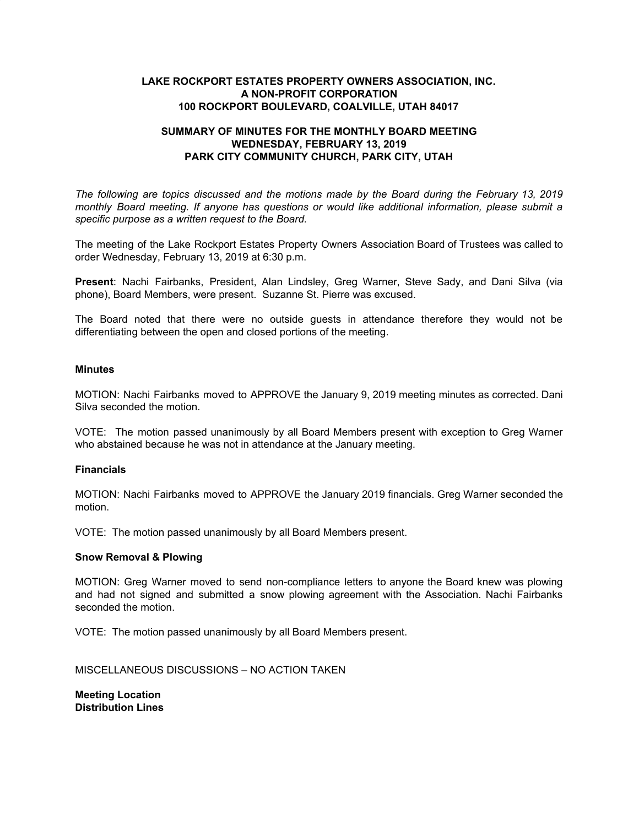## **LAKE ROCKPORT ESTATES PROPERTY OWNERS ASSOCIATION, INC. A NON-PROFIT CORPORATION 100 ROCKPORT BOULEVARD, COALVILLE, UTAH 84017**

# **SUMMARY OF MINUTES FOR THE MONTHLY BOARD MEETING WEDNESDAY, FEBRUARY 13, 2019 PARK CITY COMMUNITY CHURCH, PARK CITY, UTAH**

*The following are topics discussed and the motions made by the Board during the February 13, 2019 monthly Board meeting. If anyone has questions or would like additional information, please submit a specific purpose as a written request to the Board.*

The meeting of the Lake Rockport Estates Property Owners Association Board of Trustees was called to order Wednesday, February 13, 2019 at 6:30 p.m.

**Present**: Nachi Fairbanks, President, Alan Lindsley, Greg Warner, Steve Sady, and Dani Silva (via phone), Board Members, were present. Suzanne St. Pierre was excused.

The Board noted that there were no outside guests in attendance therefore they would not be differentiating between the open and closed portions of the meeting.

### **Minutes**

MOTION: Nachi Fairbanks moved to APPROVE the January 9, 2019 meeting minutes as corrected. Dani Silva seconded the motion.

VOTE: The motion passed unanimously by all Board Members present with exception to Greg Warner who abstained because he was not in attendance at the January meeting.

#### **Financials**

MOTION: Nachi Fairbanks moved to APPROVE the January 2019 financials. Greg Warner seconded the motion.

VOTE: The motion passed unanimously by all Board Members present.

### **Snow Removal & Plowing**

MOTION: Greg Warner moved to send non-compliance letters to anyone the Board knew was plowing and had not signed and submitted a snow plowing agreement with the Association. Nachi Fairbanks seconded the motion.

VOTE: The motion passed unanimously by all Board Members present.

MISCELLANEOUS DISCUSSIONS – NO ACTION TAKEN

**Meeting Location Distribution Lines**